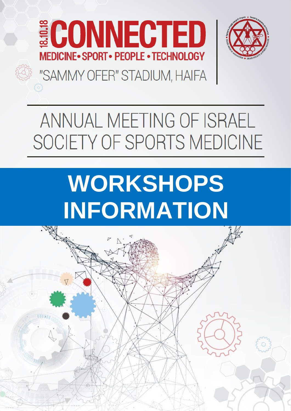



## "SAMMY OFER" STADIUM, HAIFA

## ANNUAL MEETING OF ISRAEL SOCIETY OF SPORTS MEDICINE

# **WORKSHOPS INFORMATION**

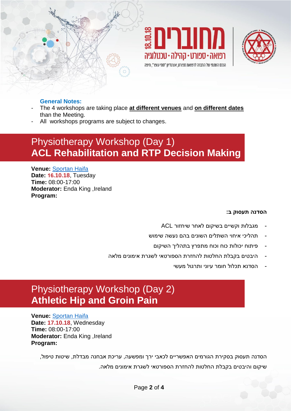





#### **General Notes:**

- The 4 workshops are taking place **at different venues** and **on different dates** than the Meeting.
- All workshops programs are subject to changes.

## Physiotherapy Workshop (Day 1) **ACL Rehabilitation and RTP Decision Making**

**Venue:** [Sportan Haifa](http://www.sportan.org.il/%D7%9E%D7%99%D7%93%D7%A2_%D7%A1%D7%A4%D7%95%D7%A8%D7%98%D7%9F_%D7%97%D7%99%D7%A4%D7%94) **Date: 16.10.18**, Tuesday **Time:** 08:00-17:00 **Moderator:** Enda King ,Ireland **Program:**

#### **הסדנה תעסוק ב:**

- מגבלות וקשיים בשיקום לאחר שיחזור ACL
- תהליכי איחוי השתלים השונים בהם נעשה שימוש
	- פיתוח יכולות כוח וכוח מתפרץ בתהליך השיקום
- היבטים בקבלת החלטות להחזרת הספורטאי לשגרת אימונים מלאה
	- הסדנא תכלול חומר עיוני ותרגול מעשי

## Physiotherapy Workshop (Day 2) **Athletic Hip and Groin Pain**

**Venue:** [Sportan Haifa](http://www.sportan.org.il/%D7%9E%D7%99%D7%93%D7%A2_%D7%A1%D7%A4%D7%95%D7%A8%D7%98%D7%9F_%D7%97%D7%99%D7%A4%D7%94) **Date: 17.10.18**, Wednesday **Time:** 08:00-17:00 **Moderator:** Enda King ,Ireland **Program:**

> הסדנה תעסוק בסקירת הגורמים האפשריים לכאבי ירך ומפשעה, עריכת אבחנה מבדלת, שיטות טיפול, שיקום והיבטים בקבלת החלטות להחזרת הספורטאי לשגרת אימונים מלאה.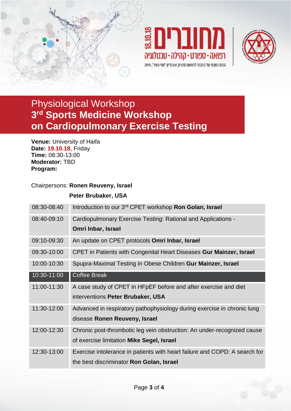





## Physiological Workshop **3 rd Sports Medicine Workshop on Cardiopulmonary Exercise Testing**

**Venue:** University of Haifa **Date: 19.10.18**, Friday **Time:** 08:30-13:00 **Moderator:** TBD **Program:**

### Chairpersons: **Ronen Reuveny, Israel**

### **Peter Brubaker, USA**

| 08:30-08:40 | Introduction to our 3 <sup>rd</sup> CPET workshop <b>Ron Golan, Israel</b> |
|-------------|----------------------------------------------------------------------------|
| 08:40-09:10 | Cardiopulmonary Exercise Testing: Rational and Applications -              |
|             | Omri Inbar, Israel                                                         |
| 09:10-09:30 | An update on CPET protocols Omri Inbar, Israel                             |
| 09:30-10:00 | CPET in Patients with Congenital Heart Diseases Gur Mainzer, Israel        |
| 10:00-10:30 | Spupra-Maximal Testing in Obese Children Gur Mainzer, Israel               |
| 10:30-11:00 | <b>Coffee Break</b>                                                        |
| 11:00-11:30 | A case study of CPET in HFpEF before and after exercise and diet           |
|             | interventions Peter Brubaker, USA                                          |
| 11:30-12:00 | Advanced in respiratory pathophysiology during exercise in chronic lung    |
|             | disease Ronen Reuveny, Israel                                              |
| 12:00-12:30 | Chronic post-thrombotic leg vein obstruction: An under-recognized cause    |
|             | of exercise limitation Mike Segel, Israel                                  |
| 12:30-13:00 | Exercise intolerance in patients with heart failure and COPD: A search for |
|             | the best discriminator <b>Ron Golan, Israel</b>                            |